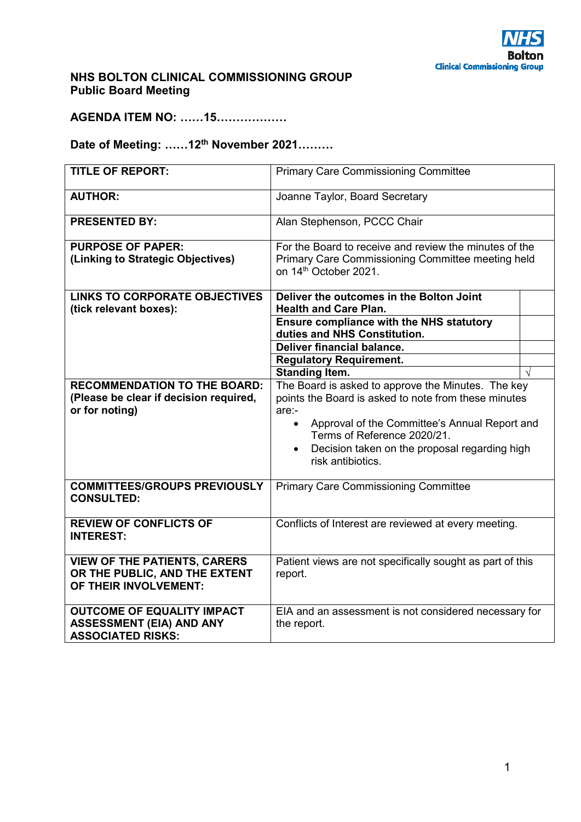## **NHS BOLTON CLINICAL COMMISSIONING GROUP Public Board Meeting**

**AGENDA ITEM NO: ……15………………** 

# **Date of Meeting: ……12th November 2021………**

| <b>TITLE OF REPORT:</b>                                                                          | <b>Primary Care Commissioning Committee</b>                                                                                                                                                                                                                                                         |  |
|--------------------------------------------------------------------------------------------------|-----------------------------------------------------------------------------------------------------------------------------------------------------------------------------------------------------------------------------------------------------------------------------------------------------|--|
| <b>AUTHOR:</b>                                                                                   | Joanne Taylor, Board Secretary                                                                                                                                                                                                                                                                      |  |
| <b>PRESENTED BY:</b>                                                                             | Alan Stephenson, PCCC Chair                                                                                                                                                                                                                                                                         |  |
| <b>PURPOSE OF PAPER:</b><br>(Linking to Strategic Objectives)                                    | For the Board to receive and review the minutes of the<br>Primary Care Commissioning Committee meeting held<br>on 14th October 2021.                                                                                                                                                                |  |
| <b>LINKS TO CORPORATE OBJECTIVES</b><br>(tick relevant boxes):                                   | Deliver the outcomes in the Bolton Joint<br><b>Health and Care Plan.</b>                                                                                                                                                                                                                            |  |
|                                                                                                  | <b>Ensure compliance with the NHS statutory</b><br>duties and NHS Constitution.                                                                                                                                                                                                                     |  |
|                                                                                                  | <b>Deliver financial balance.</b>                                                                                                                                                                                                                                                                   |  |
|                                                                                                  | <b>Regulatory Requirement.</b>                                                                                                                                                                                                                                                                      |  |
|                                                                                                  | <b>Standing Item.</b>                                                                                                                                                                                                                                                                               |  |
| <b>RECOMMENDATION TO THE BOARD:</b><br>(Please be clear if decision required,<br>or for noting)  | The Board is asked to approve the Minutes. The key<br>points the Board is asked to note from these minutes<br>are:-<br>Approval of the Committee's Annual Report and<br>$\bullet$<br>Terms of Reference 2020/21.<br>Decision taken on the proposal regarding high<br>$\bullet$<br>risk antibiotics. |  |
| <b>COMMITTEES/GROUPS PREVIOUSLY</b><br><b>CONSULTED:</b>                                         | <b>Primary Care Commissioning Committee</b>                                                                                                                                                                                                                                                         |  |
| <b>REVIEW OF CONFLICTS OF</b><br><b>INTEREST:</b>                                                | Conflicts of Interest are reviewed at every meeting.                                                                                                                                                                                                                                                |  |
| <b>VIEW OF THE PATIENTS, CARERS</b><br>OR THE PUBLIC, AND THE EXTENT<br>OF THEIR INVOLVEMENT:    | Patient views are not specifically sought as part of this<br>report.                                                                                                                                                                                                                                |  |
| <b>OUTCOME OF EQUALITY IMPACT</b><br><b>ASSESSMENT (EIA) AND ANY</b><br><b>ASSOCIATED RISKS:</b> | EIA and an assessment is not considered necessary for<br>the report.                                                                                                                                                                                                                                |  |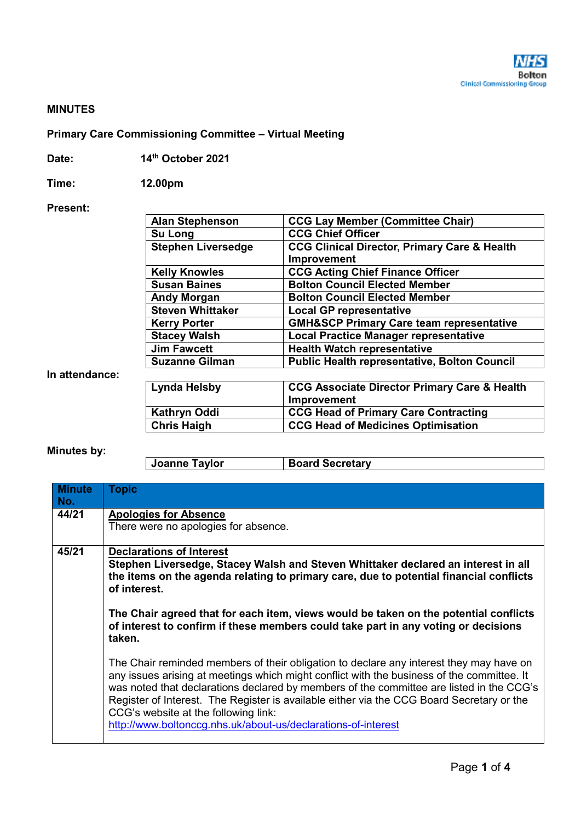#### **MINUTES**

### **Primary Care Commissioning Committee – Virtual Meeting**

| Date: | 14th October 2021 |
|-------|-------------------|
|-------|-------------------|

**Time: 12.00pm** 

#### **Present:**

| <b>Alan Stephenson</b>    | <b>CCG Lay Member (Committee Chair)</b>                 |
|---------------------------|---------------------------------------------------------|
| Su Long                   | <b>CCG Chief Officer</b>                                |
| <b>Stephen Liversedge</b> | <b>CCG Clinical Director, Primary Care &amp; Health</b> |
|                           | Improvement                                             |
| <b>Kelly Knowles</b>      | <b>CCG Acting Chief Finance Officer</b>                 |
| <b>Susan Baines</b>       | <b>Bolton Council Elected Member</b>                    |
| <b>Andy Morgan</b>        | <b>Bolton Council Elected Member</b>                    |
| <b>Steven Whittaker</b>   | <b>Local GP representative</b>                          |
| <b>Kerry Porter</b>       | <b>GMH&amp;SCP Primary Care team representative</b>     |
| <b>Stacey Walsh</b>       | <b>Local Practice Manager representative</b>            |
| <b>Jim Fawcett</b>        | <b>Health Watch representative</b>                      |
| <b>Suzanne Gilman</b>     | <b>Public Health representative, Bolton Council</b>     |
|                           |                                                         |
| <b>Lynda Helsby</b>       | <b>CCG Associate Director Primary Care &amp; Health</b> |
|                           | Improvement                                             |
| <b>Kathryn Oddi</b>       | <b>CCG Head of Primary Care Contracting</b>             |
| <b>Chris Haigh</b>        | <b>CCG Head of Medicines Optimisation</b>               |

### **Minutes by:**

**In attendance:** 

| Joanne Taylor | <b>Board Secretary</b> |
|---------------|------------------------|
|---------------|------------------------|

| <b>Minute</b><br>No. | <b>Topic</b>                                                                                                                                                                                                                                                                                                                                                                                                                                                                            |
|----------------------|-----------------------------------------------------------------------------------------------------------------------------------------------------------------------------------------------------------------------------------------------------------------------------------------------------------------------------------------------------------------------------------------------------------------------------------------------------------------------------------------|
| 44/21                | <b>Apologies for Absence</b><br>There were no apologies for absence.                                                                                                                                                                                                                                                                                                                                                                                                                    |
| 45/21                | <b>Declarations of Interest</b><br>Stephen Liversedge, Stacey Walsh and Steven Whittaker declared an interest in all<br>the items on the agenda relating to primary care, due to potential financial conflicts<br>of interest.<br>The Chair agreed that for each item, views would be taken on the potential conflicts<br>of interest to confirm if these members could take part in any voting or decisions<br>taken.                                                                  |
|                      | The Chair reminded members of their obligation to declare any interest they may have on<br>any issues arising at meetings which might conflict with the business of the committee. It<br>was noted that declarations declared by members of the committee are listed in the CCG's<br>Register of Interest. The Register is available either via the CCG Board Secretary or the<br>CCG's website at the following link:<br>http://www.boltonccg.nhs.uk/about-us/declarations-of-interest |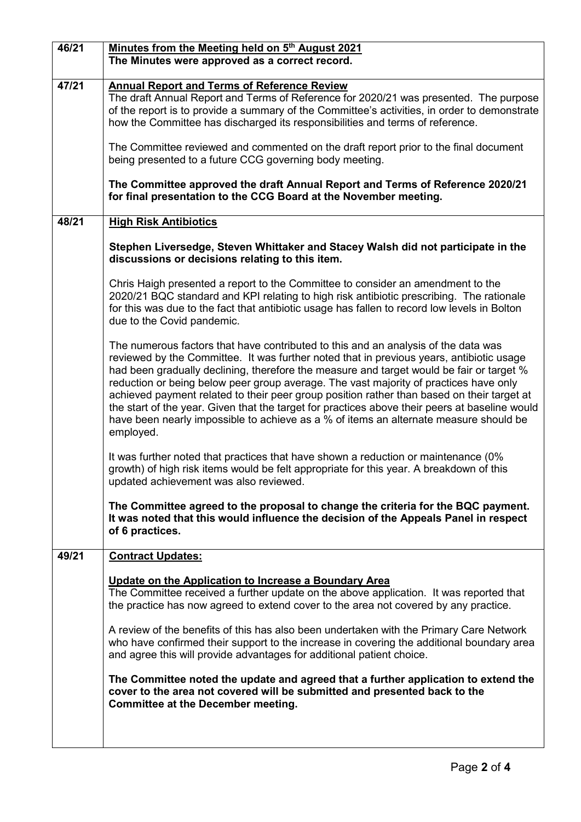| 46/21 | Minutes from the Meeting held on 5 <sup>th</sup> August 2021<br>The Minutes were approved as a correct record.                                                                                                                                                                                                                                                                                                                                                                                                                                                                                                                                                            |
|-------|---------------------------------------------------------------------------------------------------------------------------------------------------------------------------------------------------------------------------------------------------------------------------------------------------------------------------------------------------------------------------------------------------------------------------------------------------------------------------------------------------------------------------------------------------------------------------------------------------------------------------------------------------------------------------|
| 47/21 | <b>Annual Report and Terms of Reference Review</b><br>The draft Annual Report and Terms of Reference for 2020/21 was presented. The purpose<br>of the report is to provide a summary of the Committee's activities, in order to demonstrate<br>how the Committee has discharged its responsibilities and terms of reference.                                                                                                                                                                                                                                                                                                                                              |
|       | The Committee reviewed and commented on the draft report prior to the final document<br>being presented to a future CCG governing body meeting.                                                                                                                                                                                                                                                                                                                                                                                                                                                                                                                           |
|       | The Committee approved the draft Annual Report and Terms of Reference 2020/21<br>for final presentation to the CCG Board at the November meeting.                                                                                                                                                                                                                                                                                                                                                                                                                                                                                                                         |
| 48/21 | <b>High Risk Antibiotics</b>                                                                                                                                                                                                                                                                                                                                                                                                                                                                                                                                                                                                                                              |
|       | Stephen Liversedge, Steven Whittaker and Stacey Walsh did not participate in the<br>discussions or decisions relating to this item.                                                                                                                                                                                                                                                                                                                                                                                                                                                                                                                                       |
|       | Chris Haigh presented a report to the Committee to consider an amendment to the<br>2020/21 BQC standard and KPI relating to high risk antibiotic prescribing. The rationale<br>for this was due to the fact that antibiotic usage has fallen to record low levels in Bolton<br>due to the Covid pandemic.                                                                                                                                                                                                                                                                                                                                                                 |
|       | The numerous factors that have contributed to this and an analysis of the data was<br>reviewed by the Committee. It was further noted that in previous years, antibiotic usage<br>had been gradually declining, therefore the measure and target would be fair or target %<br>reduction or being below peer group average. The vast majority of practices have only<br>achieved payment related to their peer group position rather than based on their target at<br>the start of the year. Given that the target for practices above their peers at baseline would<br>have been nearly impossible to achieve as a % of items an alternate measure should be<br>employed. |
|       | It was further noted that practices that have shown a reduction or maintenance (0%<br>growth) of high risk items would be felt appropriate for this year. A breakdown of this<br>updated achievement was also reviewed.                                                                                                                                                                                                                                                                                                                                                                                                                                                   |
|       | The Committee agreed to the proposal to change the criteria for the BQC payment.<br>It was noted that this would influence the decision of the Appeals Panel in respect<br>of 6 practices.                                                                                                                                                                                                                                                                                                                                                                                                                                                                                |
| 49/21 | <b>Contract Updates:</b>                                                                                                                                                                                                                                                                                                                                                                                                                                                                                                                                                                                                                                                  |
|       | Update on the Application to Increase a Boundary Area<br>The Committee received a further update on the above application. It was reported that<br>the practice has now agreed to extend cover to the area not covered by any practice.                                                                                                                                                                                                                                                                                                                                                                                                                                   |
|       | A review of the benefits of this has also been undertaken with the Primary Care Network<br>who have confirmed their support to the increase in covering the additional boundary area<br>and agree this will provide advantages for additional patient choice.                                                                                                                                                                                                                                                                                                                                                                                                             |
|       | The Committee noted the update and agreed that a further application to extend the<br>cover to the area not covered will be submitted and presented back to the<br><b>Committee at the December meeting.</b>                                                                                                                                                                                                                                                                                                                                                                                                                                                              |
|       |                                                                                                                                                                                                                                                                                                                                                                                                                                                                                                                                                                                                                                                                           |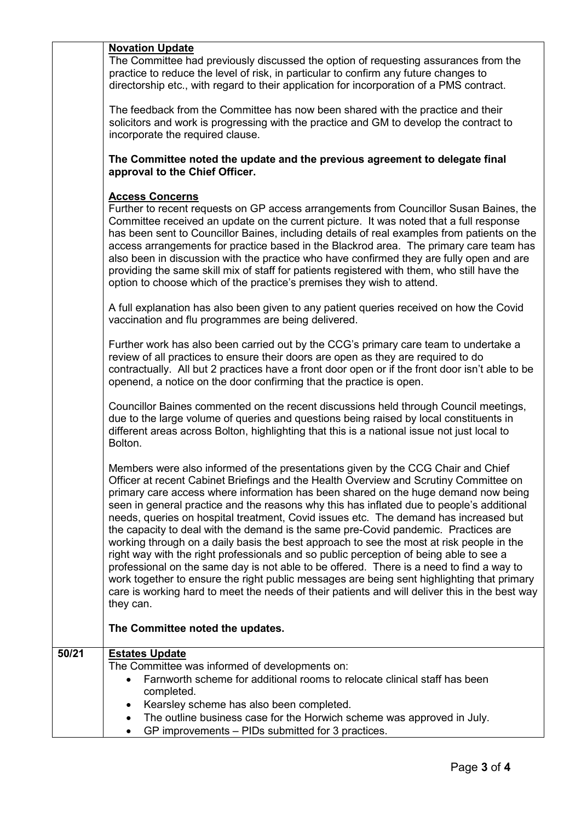#### **Novation Update**

The Committee had previously discussed the option of requesting assurances from the practice to reduce the level of risk, in particular to confirm any future changes to directorship etc., with regard to their application for incorporation of a PMS contract.

The feedback from the Committee has now been shared with the practice and their solicitors and work is progressing with the practice and GM to develop the contract to incorporate the required clause.

**The Committee noted the update and the previous agreement to delegate final approval to the Chief Officer.** 

#### **Access Concerns**

Further to recent requests on GP access arrangements from Councillor Susan Baines, the Committee received an update on the current picture. It was noted that a full response has been sent to Councillor Baines, including details of real examples from patients on the access arrangements for practice based in the Blackrod area. The primary care team has also been in discussion with the practice who have confirmed they are fully open and are providing the same skill mix of staff for patients registered with them, who still have the option to choose which of the practice's premises they wish to attend.

A full explanation has also been given to any patient queries received on how the Covid vaccination and flu programmes are being delivered.

Further work has also been carried out by the CCG's primary care team to undertake a review of all practices to ensure their doors are open as they are required to do contractually. All but 2 practices have a front door open or if the front door isn't able to be openend, a notice on the door confirming that the practice is open.

Councillor Baines commented on the recent discussions held through Council meetings, due to the large volume of queries and questions being raised by local constituents in different areas across Bolton, highlighting that this is a national issue not just local to Bolton.

Members were also informed of the presentations given by the CCG Chair and Chief Officer at recent Cabinet Briefings and the Health Overview and Scrutiny Committee on primary care access where information has been shared on the huge demand now being seen in general practice and the reasons why this has inflated due to people's additional needs, queries on hospital treatment, Covid issues etc. The demand has increased but the capacity to deal with the demand is the same pre-Covid pandemic. Practices are working through on a daily basis the best approach to see the most at risk people in the right way with the right professionals and so public perception of being able to see a professional on the same day is not able to be offered. There is a need to find a way to work together to ensure the right public messages are being sent highlighting that primary care is working hard to meet the needs of their patients and will deliver this in the best way they can.

### **The Committee noted the updates.**

### **50/21 Estates Update** The Committee was informed of developments on: Farnworth scheme for additional rooms to relocate clinical staff has been completed. Kearsley scheme has also been completed. The outline business case for the Horwich scheme was approved in July. GP improvements – PIDs submitted for 3 practices.